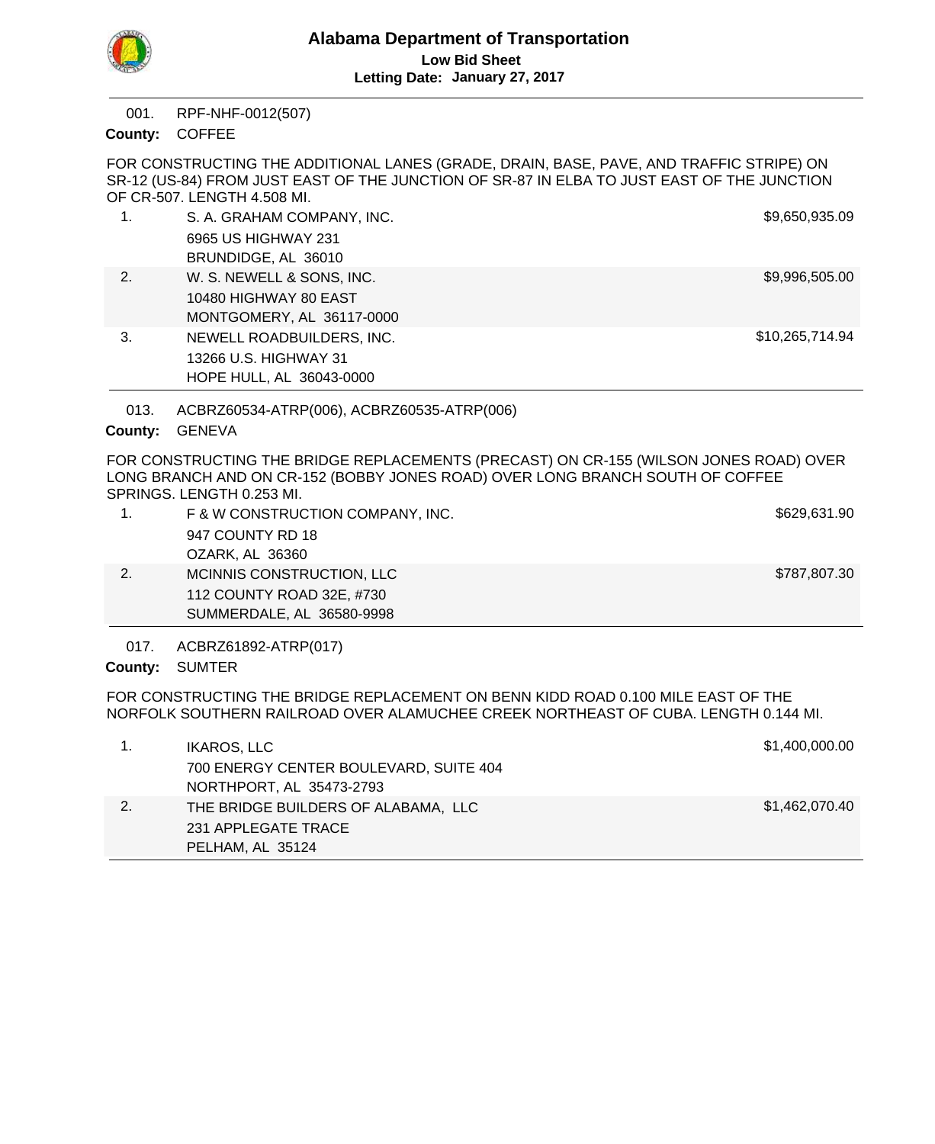

RPF-NHF-0012(507) 001.

County: COFFEE

FOR CONSTRUCTING THE ADDITIONAL LANES (GRADE, DRAIN, BASE, PAVE, AND TRAFFIC STRIPE) ON SR-12 (US-84) FROM JUST EAST OF THE JUNCTION OF SR-87 IN ELBA TO JUST EAST OF THE JUNCTION OF CR-507. LENGTH 4.508 MI.

| 1. | S. A. GRAHAM COMPANY, INC. | \$9,650,935.09  |  |
|----|----------------------------|-----------------|--|
|    | 6965 US HIGHWAY 231        |                 |  |
|    | BRUNDIDGE, AL 36010        |                 |  |
| 2. | W. S. NEWELL & SONS, INC.  | \$9,996,505.00  |  |
|    | 10480 HIGHWAY 80 EAST      |                 |  |
|    | MONTGOMERY, AL 36117-0000  |                 |  |
| 3. | NEWELL ROADBUILDERS, INC.  | \$10,265,714.94 |  |
|    | 13266 U.S. HIGHWAY 31      |                 |  |
|    | HOPE HULL, AL 36043-0000   |                 |  |

ACBRZ60534-ATRP(006), ACBRZ60535-ATRP(006) 013.

# County: GENEVA

FOR CONSTRUCTING THE BRIDGE REPLACEMENTS (PRECAST) ON CR-155 (WILSON JONES ROAD) OVER LONG BRANCH AND ON CR-152 (BOBBY JONES ROAD) OVER LONG BRANCH SOUTH OF COFFEE SPRINGS. LENGTH 0.253 MI.

| F & W CONSTRUCTION COMPANY, INC. | \$629,631.90 |
|----------------------------------|--------------|
| 947 COUNTY RD 18                 |              |
| OZARK, AL 36360                  |              |
| MCINNIS CONSTRUCTION, LLC        | \$787,807.30 |
| 112 COUNTY ROAD 32E, #730        |              |
| SUMMERDALE, AL 36580-9998        |              |

ACBRZ61892-ATRP(017) 017.

County: SUMTER

FOR CONSTRUCTING THE BRIDGE REPLACEMENT ON BENN KIDD ROAD 0.100 MILE EAST OF THE NORFOLK SOUTHERN RAILROAD OVER ALAMUCHEE CREEK NORTHEAST OF CUBA. LENGTH 0.144 MI.

|    | IKAROS, LLC<br>700 ENERGY CENTER BOULEVARD, SUITE 404<br>NORTHPORT, AL 35473-2793 | \$1,400,000.00 |
|----|-----------------------------------------------------------------------------------|----------------|
| 2. | THE BRIDGE BUILDERS OF ALABAMA, LLC<br>231 APPLEGATE TRACE<br>PELHAM, AL 35124    | \$1,462,070.40 |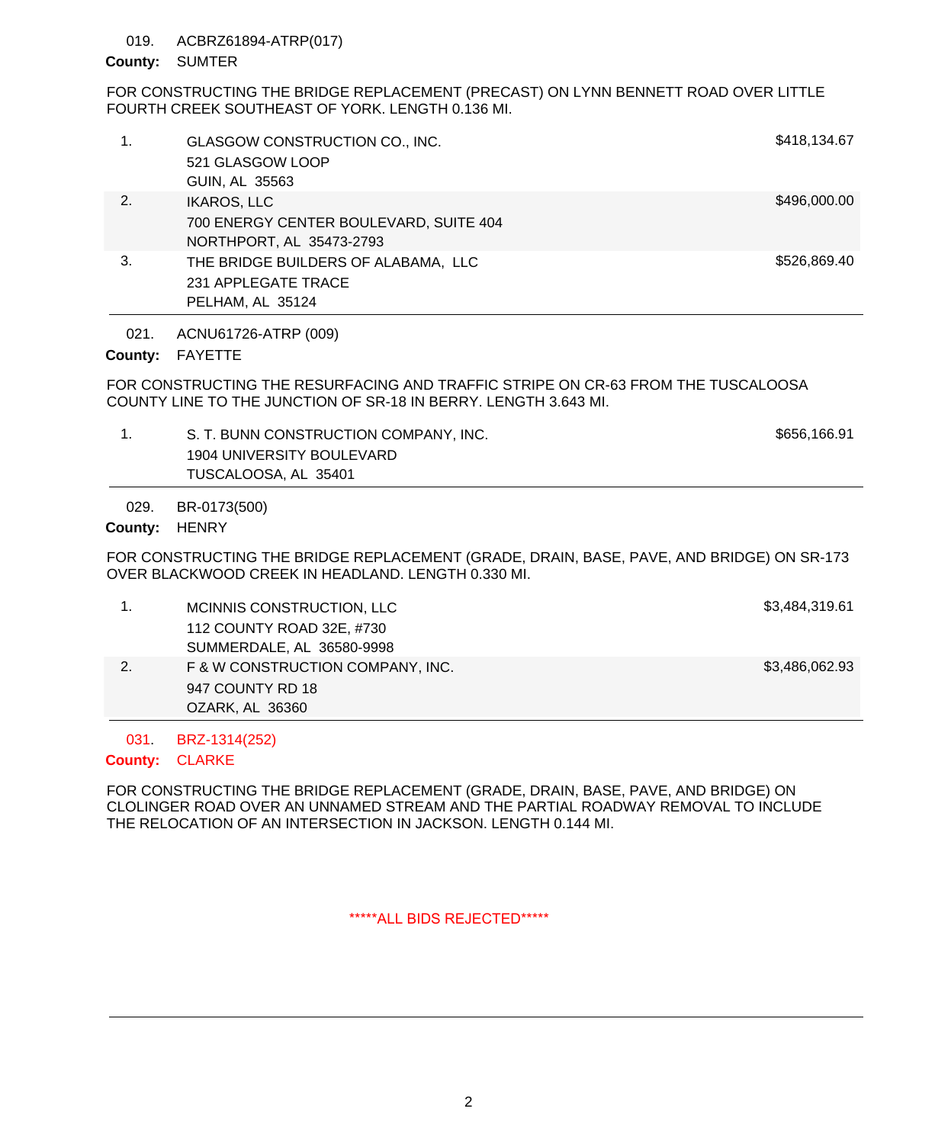## 019. ACBRZ61894-ATRP(017)

## County: SUMTER

# FOR CONSTRUCTING THE BRIDGE REPLACEMENT (PRECAST) ON LYNN BENNETT ROAD OVER LITTLE FOURTH CREEK SOUTHEAST OF YORK. LENGTH 0.136 MI.

| 1.             | GLASGOW CONSTRUCTION CO., INC.<br>521 GLASGOW LOOP<br>GUIN, AL 35563                                                                                | \$418,134.67 |
|----------------|-----------------------------------------------------------------------------------------------------------------------------------------------------|--------------|
| 2.             | <b>IKAROS, LLC</b><br>700 ENERGY CENTER BOULEVARD, SUITE 404<br>NORTHPORT, AL 35473-2793                                                            | \$496,000.00 |
| 3.             | THE BRIDGE BUILDERS OF ALABAMA, LLC<br>231 APPLEGATE TRACE<br>PELHAM, AL 35124                                                                      | \$526,869.40 |
| 021.           | ACNU61726-ATRP (009)                                                                                                                                |              |
| County:        | <b>FAYETTE</b>                                                                                                                                      |              |
|                | FOR CONSTRUCTING THE RESURFACING AND TRAFFIC STRIPE ON CR-63 FROM THE TUSCALOOSA<br>COUNTY LINE TO THE JUNCTION OF SR-18 IN BERRY. LENGTH 3.643 MI. |              |
| 1 <sub>1</sub> | S. T. BUNN CONSTRUCTION COMPANY, INC.<br>1904 UNIVERSITY BOULEVARD<br>TUSCALOOSA, AL 35401                                                          | \$656,166.91 |
| 029.           | BR-0173(500)                                                                                                                                        |              |
| County:        | <b>HENRY</b>                                                                                                                                        |              |
|                | FOR CONSTRUCTING THE BRIDGE REPLACEMENT (GRADE, DRAIN, BASE, PAVE, AND BRIDGE) ON SR-173<br>OVER BLACKWOOD CREEK IN HEADLAND. LENGTH 0.330 MI.      |              |

|    | MCINNIS CONSTRUCTION, LLC        | \$3,484,319.61 |
|----|----------------------------------|----------------|
|    | 112 COUNTY ROAD 32E, #730        |                |
|    | SUMMERDALE, AL 36580-9998        |                |
| 2. | F & W CONSTRUCTION COMPANY, INC. | \$3,486,062.93 |
|    | 947 COUNTY RD 18                 |                |
|    | OZARK, AL 36360                  |                |

BRZ-1314(252) 031.

## County: CLARKE

FOR CONSTRUCTING THE BRIDGE REPLACEMENT (GRADE, DRAIN, BASE, PAVE, AND BRIDGE) ON CLOLINGER ROAD OVER AN UNNAMED STREAM AND THE PARTIAL ROADWAY REMOVAL TO INCLUDE THE RELOCATION OF AN INTERSECTION IN JACKSON. LENGTH 0.144 MI.

\*\*\*\*\*ALL BIDS REJECTED\*\*\*\*\*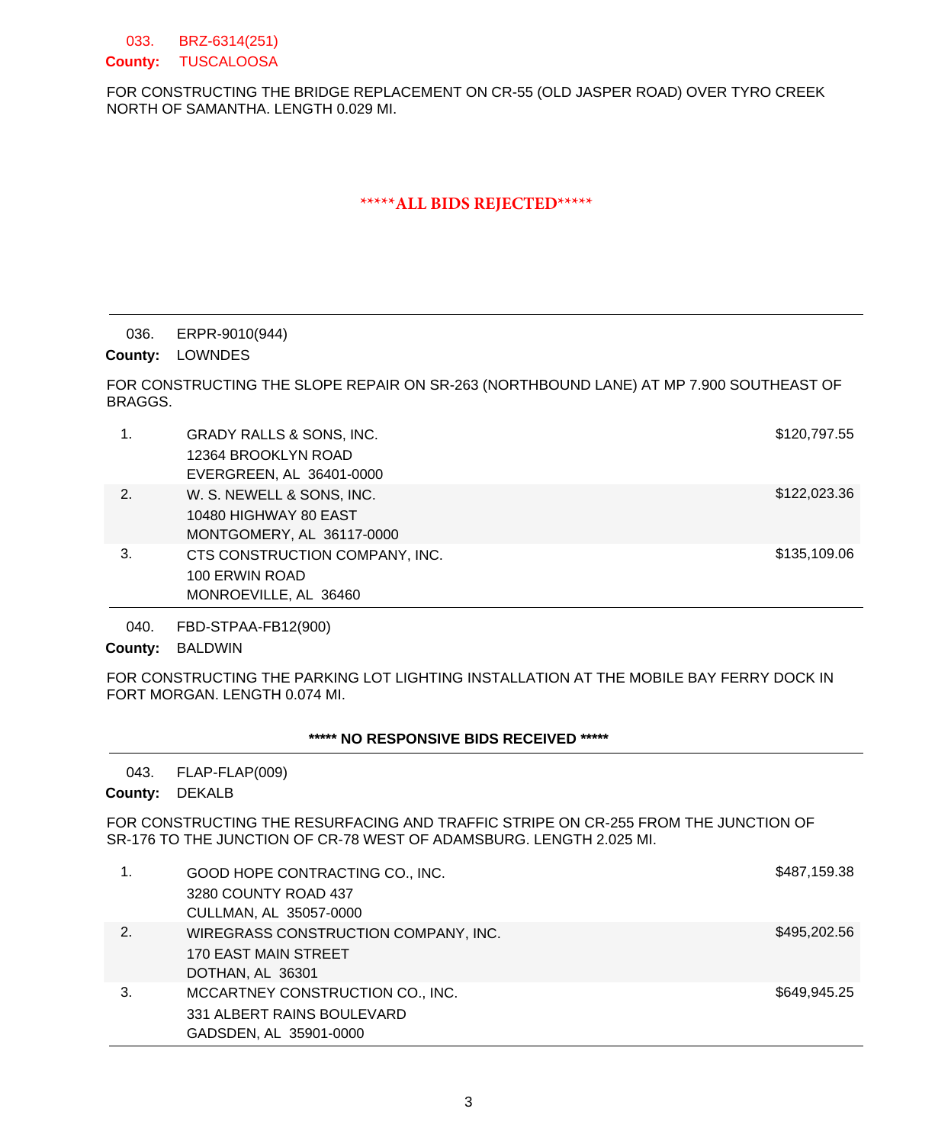BRZ-6314(251) County: TUSCALOOSA 033.

FOR CONSTRUCTING THE BRIDGE REPLACEMENT ON CR-55 (OLD JASPER ROAD) OVER TYRO CREEK NORTH OF SAMANTHA. LENGTH 0.029 MI.

# **\*\*\*\*\*ALL BIDS REJECTED\*\*\*\*\***

### ERPR-9010(944) 036.

County: LOWNDES

FOR CONSTRUCTING THE SLOPE REPAIR ON SR-263 (NORTHBOUND LANE) AT MP 7.900 SOUTHEAST OF BRAGGS.

| 1. | <b>GRADY RALLS &amp; SONS, INC.</b><br>12364 BROOKLYN ROAD<br>EVERGREEN, AL 36401-0000 | \$120,797.55 |
|----|----------------------------------------------------------------------------------------|--------------|
| 2. | W. S. NEWELL & SONS, INC.<br>10480 HIGHWAY 80 EAST<br>MONTGOMERY, AL 36117-0000        | \$122,023.36 |
| 3. | CTS CONSTRUCTION COMPANY, INC.<br>100 ERWIN ROAD<br>MONROEVILLE, AL 36460              | \$135,109.06 |

FBD-STPAA-FB12(900) 040.

County: BALDWIN

FOR CONSTRUCTING THE PARKING LOT LIGHTING INSTALLATION AT THE MOBILE BAY FERRY DOCK IN FORT MORGAN. LENGTH 0.074 MI.

# **\*\*\*\*\* NO RESPONSIVE BIDS RECEIVED \*\*\*\*\***

FLAP-FLAP(009) 043.

County: DEKALB

FOR CONSTRUCTING THE RESURFACING AND TRAFFIC STRIPE ON CR-255 FROM THE JUNCTION OF SR-176 TO THE JUNCTION OF CR-78 WEST OF ADAMSBURG. LENGTH 2.025 MI.

| 1. | GOOD HOPE CONTRACTING CO., INC.<br>3280 COUNTY ROAD 437 | \$487,159.38 |
|----|---------------------------------------------------------|--------------|
|    | CULLMAN, AL 35057-0000                                  |              |
| 2. | WIREGRASS CONSTRUCTION COMPANY, INC.                    | \$495,202.56 |
|    | 170 EAST MAIN STREET                                    |              |
|    | DOTHAN, AL 36301                                        |              |
| 3. | MCCARTNEY CONSTRUCTION CO., INC.                        | \$649,945,25 |
|    | 331 ALBERT RAINS BOULEVARD                              |              |
|    | GADSDEN, AL 35901-0000                                  |              |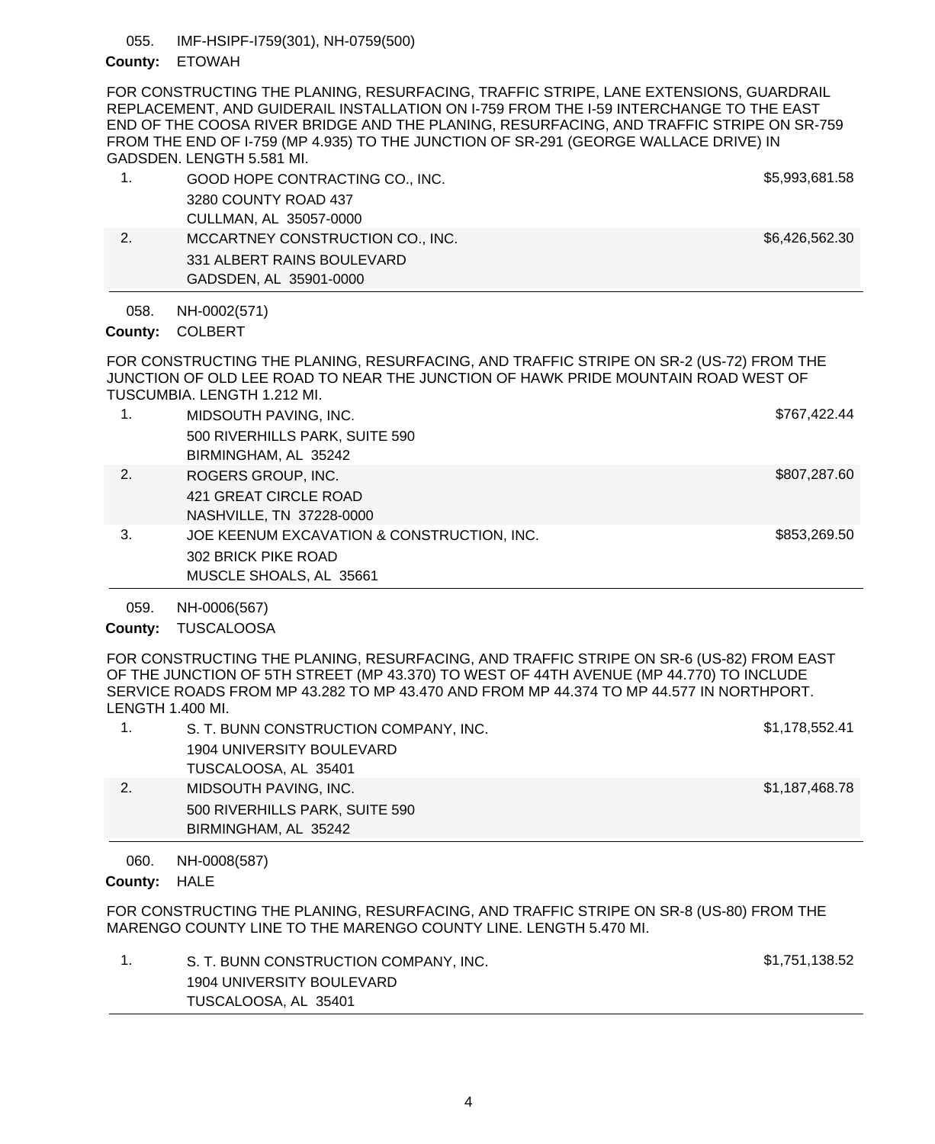IMF-HSIPF-I759(301), NH-0759(500) 055.

## County: ETOWAH

FOR CONSTRUCTING THE PLANING, RESURFACING, TRAFFIC STRIPE, LANE EXTENSIONS, GUARDRAIL REPLACEMENT, AND GUIDERAIL INSTALLATION ON I-759 FROM THE I-59 INTERCHANGE TO THE EAST END OF THE COOSA RIVER BRIDGE AND THE PLANING, RESURFACING, AND TRAFFIC STRIPE ON SR-759 FROM THE END OF I-759 (MP 4.935) TO THE JUNCTION OF SR-291 (GEORGE WALLACE DRIVE) IN GADSDEN. LENGTH 5.581 MI.

| GOOD HOPE CONTRACTING CO., INC.  | \$5,993,681.58 |
|----------------------------------|----------------|
| 3280 COUNTY ROAD 437             |                |
| CULLMAN, AL 35057-0000           |                |
| MCCARTNEY CONSTRUCTION CO., INC. | \$6,426,562.30 |
| 331 ALBERT RAINS BOULEVARD       |                |
| GADSDEN, AL 35901-0000           |                |

NH-0002(571) 058.

## COLBERT **County:**

FOR CONSTRUCTING THE PLANING, RESURFACING, AND TRAFFIC STRIPE ON SR-2 (US-72) FROM THE JUNCTION OF OLD LEE ROAD TO NEAR THE JUNCTION OF HAWK PRIDE MOUNTAIN ROAD WEST OF TUSCUMBIA. LENGTH 1.212 MI.

| 1. | MIDSOUTH PAVING, INC.                      | \$767,422.44 |
|----|--------------------------------------------|--------------|
|    | 500 RIVERHILLS PARK, SUITE 590             |              |
|    | BIRMINGHAM, AL 35242                       |              |
| 2. | ROGERS GROUP, INC.                         | \$807,287.60 |
|    | 421 GREAT CIRCLE ROAD                      |              |
|    | NASHVILLE, TN 37228-0000                   |              |
| 3. | JOE KEENUM EXCAVATION & CONSTRUCTION, INC. | \$853,269.50 |
|    | 302 BRICK PIKE ROAD                        |              |
|    | MUSCLE SHOALS, AL 35661                    |              |

NH-0006(567) 059.

# County: TUSCALOOSA

FOR CONSTRUCTING THE PLANING, RESURFACING, AND TRAFFIC STRIPE ON SR-6 (US-82) FROM EAST OF THE JUNCTION OF 5TH STREET (MP 43.370) TO WEST OF 44TH AVENUE (MP 44.770) TO INCLUDE SERVICE ROADS FROM MP 43.282 TO MP 43.470 AND FROM MP 44.374 TO MP 44.577 IN NORTHPORT. LENGTH 1.400 MI.

|    | S. T. BUNN CONSTRUCTION COMPANY, INC. | \$1,178,552.41 |
|----|---------------------------------------|----------------|
|    | 1904 UNIVERSITY BOULEVARD             |                |
|    | TUSCALOOSA, AL 35401                  |                |
| 2. | MIDSOUTH PAVING, INC.                 | \$1,187,468.78 |
|    | 500 RIVERHILLS PARK, SUITE 590        |                |
|    | BIRMINGHAM, AL 35242                  |                |

NH-0008(587) 060.

# County: HALE

FOR CONSTRUCTING THE PLANING, RESURFACING, AND TRAFFIC STRIPE ON SR-8 (US-80) FROM THE MARENGO COUNTY LINE TO THE MARENGO COUNTY LINE. LENGTH 5.470 MI.

| S. T. BUNN CONSTRUCTION COMPANY, INC. | \$1,751,138.52 |
|---------------------------------------|----------------|
| 1904 UNIVERSITY BOULEVARD             |                |
| TUSCALOOSA, AL 35401                  |                |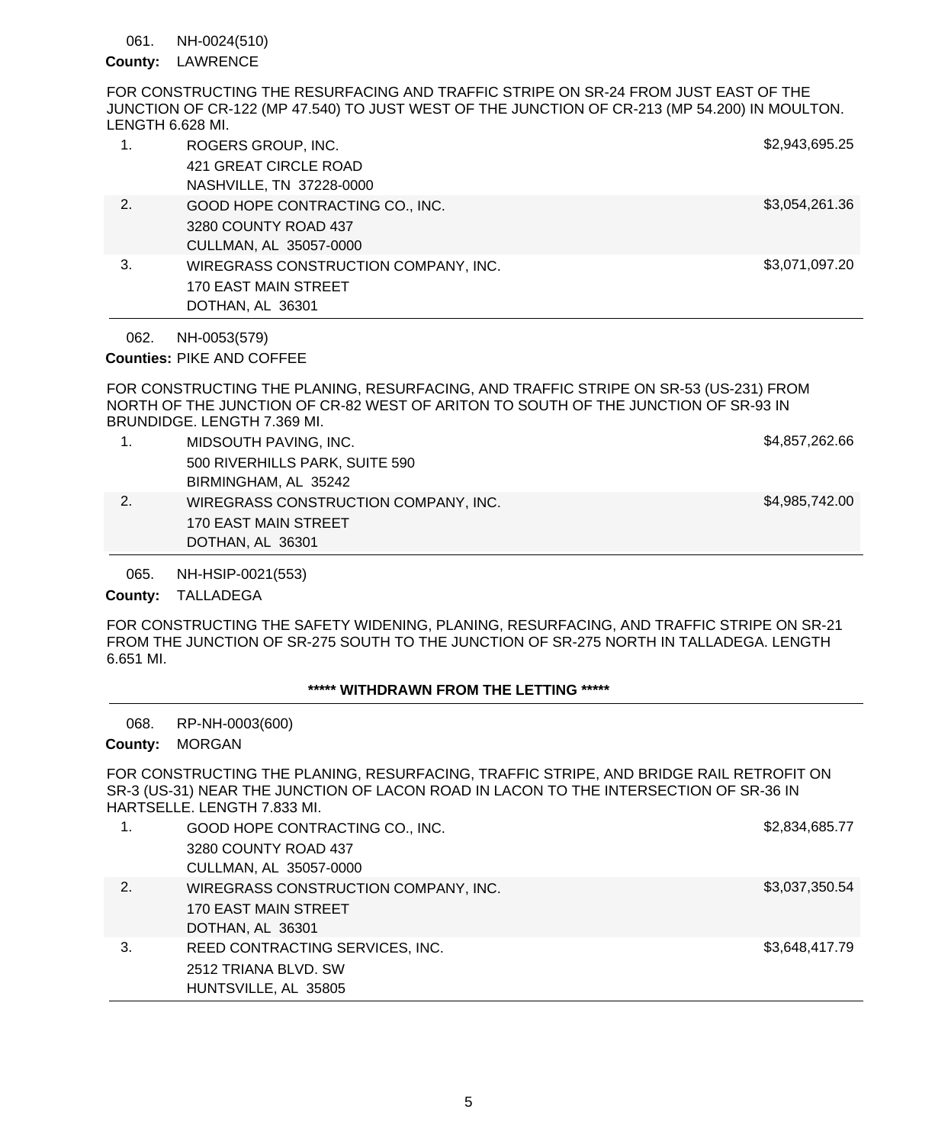#### NH-0024(510) 061.

## County: LAWRENCE

FOR CONSTRUCTING THE RESURFACING AND TRAFFIC STRIPE ON SR-24 FROM JUST EAST OF THE JUNCTION OF CR-122 (MP 47.540) TO JUST WEST OF THE JUNCTION OF CR-213 (MP 54.200) IN MOULTON. LENGTH 6.628 MI.

|    | ROGERS GROUP, INC.<br>421 GREAT CIRCLE ROAD<br>NASHVILLE, TN 37228-0000 | \$2,943,695.25 |
|----|-------------------------------------------------------------------------|----------------|
| 2. |                                                                         | \$3,054,261.36 |
|    | GOOD HOPE CONTRACTING CO., INC.                                         |                |
|    | 3280 COUNTY ROAD 437                                                    |                |
|    | CULLMAN, AL 35057-0000                                                  |                |
| 3. | WIREGRASS CONSTRUCTION COMPANY, INC.                                    | \$3,071,097.20 |
|    | <b>170 EAST MAIN STREET</b>                                             |                |
|    | DOTHAN, AL 36301                                                        |                |

NH-0053(579) 062.

Counties: PIKE AND COFFEE

FOR CONSTRUCTING THE PLANING, RESURFACING, AND TRAFFIC STRIPE ON SR-53 (US-231) FROM NORTH OF THE JUNCTION OF CR-82 WEST OF ARITON TO SOUTH OF THE JUNCTION OF SR-93 IN BRUNDIDGE. LENGTH 7.369 MI.

|    | DOTHAN, AL 36301                     |                |
|----|--------------------------------------|----------------|
|    | 170 EAST MAIN STREET                 |                |
| 2. | WIREGRASS CONSTRUCTION COMPANY, INC. | \$4,985,742.00 |
|    | BIRMINGHAM, AL 35242                 |                |
|    | 500 RIVERHILLS PARK, SUITE 590       |                |
|    | MIDSOUTH PAVING, INC.                | \$4,857,262.66 |

NH-HSIP-0021(553) 065.

## County: TALLADEGA

FOR CONSTRUCTING THE SAFETY WIDENING, PLANING, RESURFACING, AND TRAFFIC STRIPE ON SR-21 FROM THE JUNCTION OF SR-275 SOUTH TO THE JUNCTION OF SR-275 NORTH IN TALLADEGA. LENGTH 6.651 MI.

# **\*\*\*\*\* WITHDRAWN FROM THE LETTING \*\*\*\*\***

RP-NH-0003(600) 068.

County: MORGAN

FOR CONSTRUCTING THE PLANING, RESURFACING, TRAFFIC STRIPE, AND BRIDGE RAIL RETROFIT ON SR-3 (US-31) NEAR THE JUNCTION OF LACON ROAD IN LACON TO THE INTERSECTION OF SR-36 IN HARTSELLE. LENGTH 7.833 MI.

|    | GOOD HOPE CONTRACTING CO., INC.      | \$2,834,685.77 |
|----|--------------------------------------|----------------|
|    | 3280 COUNTY ROAD 437                 |                |
|    | CULLMAN, AL 35057-0000               |                |
| 2. | WIREGRASS CONSTRUCTION COMPANY, INC. | \$3,037,350.54 |
|    | 170 EAST MAIN STREET                 |                |
|    | DOTHAN, AL 36301                     |                |
| 3. | REED CONTRACTING SERVICES, INC.      | \$3,648,417.79 |
|    | 2512 TRIANA BLVD, SW                 |                |
|    | HUNTSVILLE, AL 35805                 |                |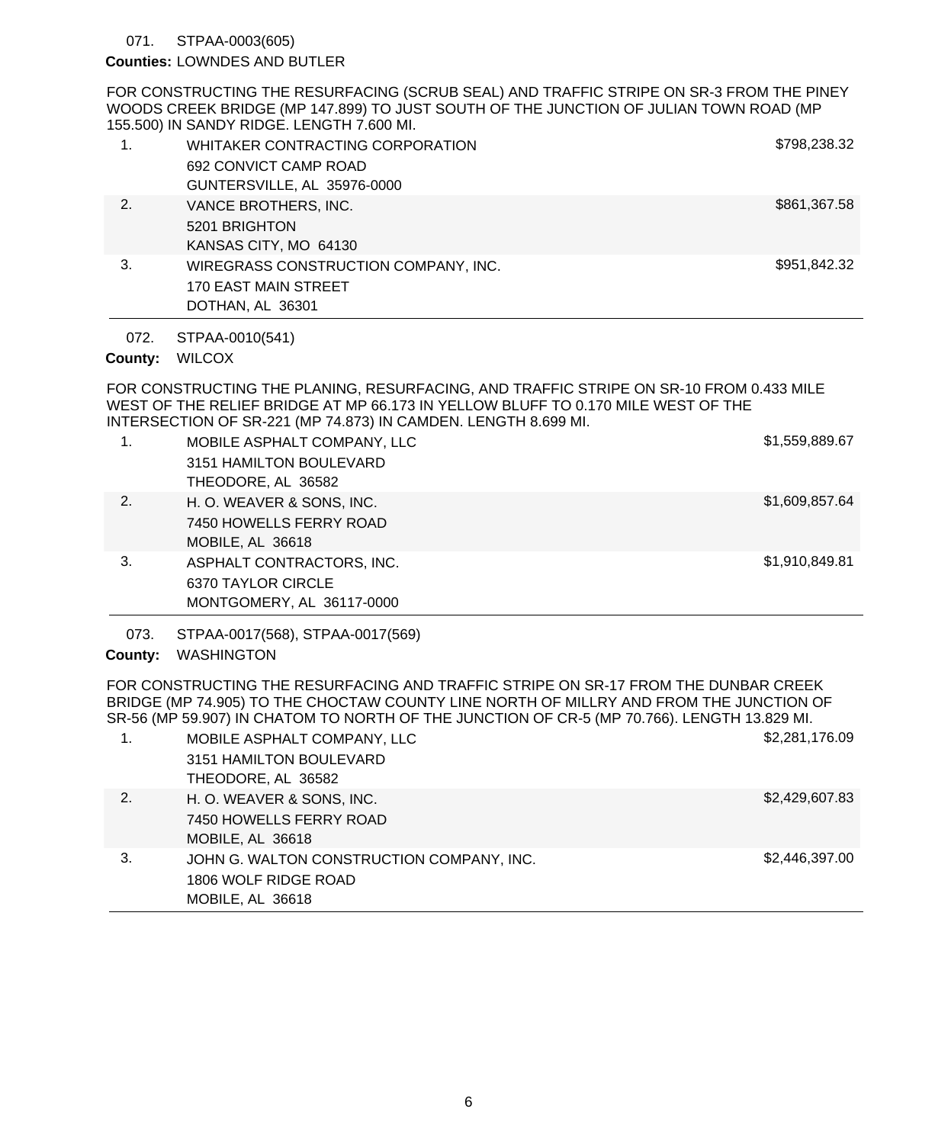### STPAA-0003(605) 071.

## Counties: LOWNDES AND BUTLER

FOR CONSTRUCTING THE RESURFACING (SCRUB SEAL) AND TRAFFIC STRIPE ON SR-3 FROM THE PINEY WOODS CREEK BRIDGE (MP 147.899) TO JUST SOUTH OF THE JUNCTION OF JULIAN TOWN ROAD (MP 155.500) IN SANDY RIDGE. LENGTH 7.600 MI.

| 1. | WHITAKER CONTRACTING CORPORATION<br>692 CONVICT CAMP ROAD | \$798,238.32 |
|----|-----------------------------------------------------------|--------------|
|    | GUNTERSVILLE, AL 35976-0000                               |              |
| 2. | VANCE BROTHERS, INC.                                      | \$861,367.58 |
|    | 5201 BRIGHTON                                             |              |
|    | KANSAS CITY, MO 64130                                     |              |
| 3. | WIREGRASS CONSTRUCTION COMPANY, INC.                      | \$951,842.32 |
|    | 170 EAST MAIN STREET                                      |              |
|    | DOTHAN, AL 36301                                          |              |

STPAA-0010(541) 072.

# County: WILCOX

FOR CONSTRUCTING THE PLANING, RESURFACING, AND TRAFFIC STRIPE ON SR-10 FROM 0.433 MILE WEST OF THE RELIEF BRIDGE AT MP 66.173 IN YELLOW BLUFF TO 0.170 MILE WEST OF THE INTERSECTION OF SR-221 (MP 74.873) IN CAMDEN. LENGTH 8.699 MI.

| 1. | MOBILE ASPHALT COMPANY, LLC | \$1,559,889.67 |
|----|-----------------------------|----------------|
|    | 3151 HAMILTON BOULEVARD     |                |
|    | THEODORE, AL 36582          |                |
| 2. | H. O. WEAVER & SONS, INC.   | \$1,609,857.64 |
|    | 7450 HOWELLS FERRY ROAD     |                |
|    | MOBILE, AL 36618            |                |
| 3. | ASPHALT CONTRACTORS, INC.   | \$1,910,849.81 |
|    | 6370 TAYLOR CIRCLE          |                |
|    | MONTGOMERY, AL 36117-0000   |                |

STPAA-0017(568), STPAA-0017(569) 073.

# County: WASHINGTON

FOR CONSTRUCTING THE RESURFACING AND TRAFFIC STRIPE ON SR-17 FROM THE DUNBAR CREEK BRIDGE (MP 74.905) TO THE CHOCTAW COUNTY LINE NORTH OF MILLRY AND FROM THE JUNCTION OF SR-56 (MP 59.907) IN CHATOM TO NORTH OF THE JUNCTION OF CR-5 (MP 70.766). LENGTH 13.829 MI.

| 1. | MOBILE ASPHALT COMPANY, LLC               | \$2,281,176.09 |
|----|-------------------------------------------|----------------|
|    | 3151 HAMILTON BOULEVARD                   |                |
|    | THEODORE, AL 36582                        |                |
| 2. | H. O. WEAVER & SONS, INC.                 | \$2,429,607.83 |
|    | 7450 HOWELLS FERRY ROAD                   |                |
|    | MOBILE, AL 36618                          |                |
| 3. | JOHN G. WALTON CONSTRUCTION COMPANY, INC. | \$2,446,397.00 |
|    | 1806 WOLF RIDGE ROAD                      |                |
|    | MOBILE, AL 36618                          |                |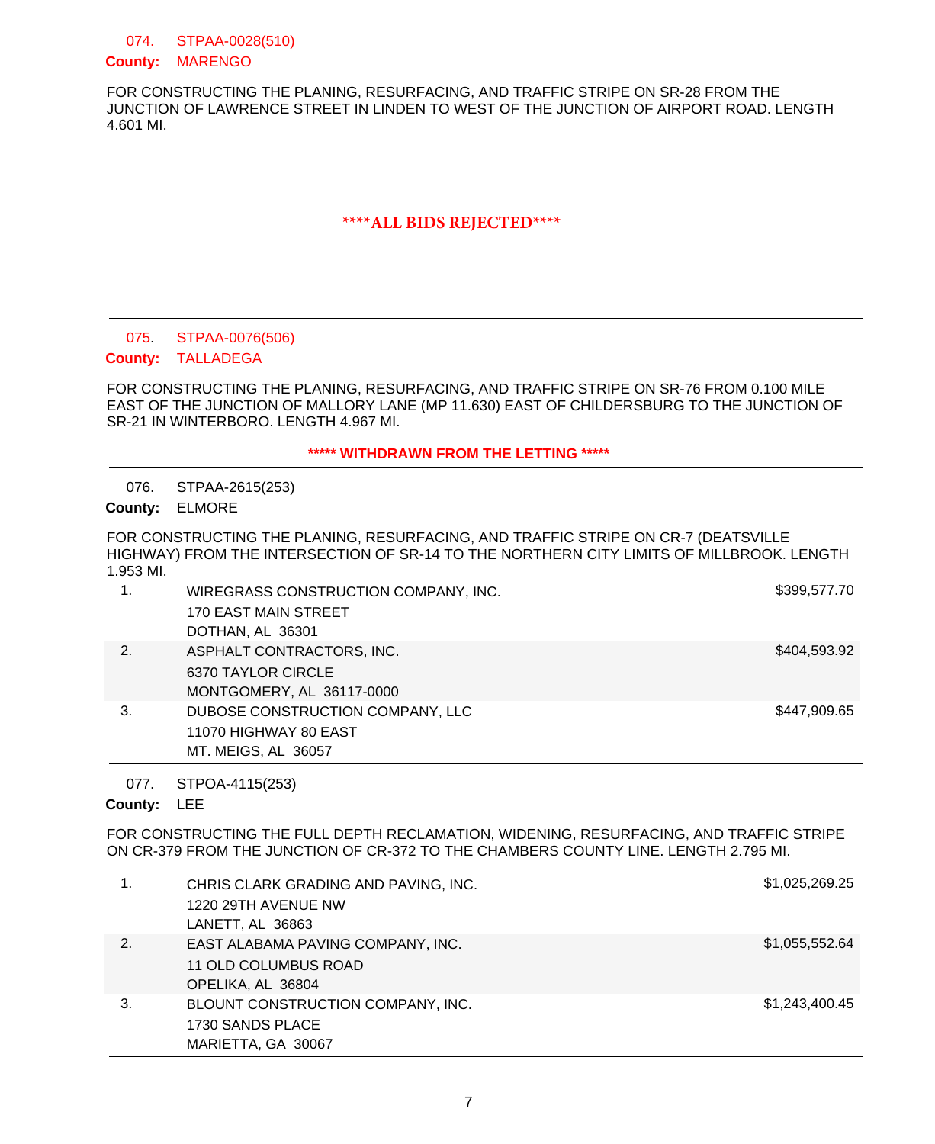STPAA-0028(510) 074.

## County: MARENGO

FOR CONSTRUCTING THE PLANING, RESURFACING, AND TRAFFIC STRIPE ON SR-28 FROM THE JUNCTION OF LAWRENCE STREET IN LINDEN TO WEST OF THE JUNCTION OF AIRPORT ROAD. LENGTH 4.601 MI.

# **\*\*\*\*ALL BIDS REJECTED\*\*\*\***

### STPAA-0076(506) 075.

# County: TALLADEGA

FOR CONSTRUCTING THE PLANING, RESURFACING, AND TRAFFIC STRIPE ON SR-76 FROM 0.100 MILE EAST OF THE JUNCTION OF MALLORY LANE (MP 11.630) EAST OF CHILDERSBURG TO THE JUNCTION OF SR-21 IN WINTERBORO. LENGTH 4.967 MI.

# **\*\*\*\*\* WITHDRAWN FROM THE LETTING \*\*\*\*\***

STPAA-2615(253) 076.

ELMORE **County:**

FOR CONSTRUCTING THE PLANING, RESURFACING, AND TRAFFIC STRIPE ON CR-7 (DEATSVILLE HIGHWAY) FROM THE INTERSECTION OF SR-14 TO THE NORTHERN CITY LIMITS OF MILLBROOK. LENGTH 1.953 MI.

|    | WIREGRASS CONSTRUCTION COMPANY, INC.<br><b>170 EAST MAIN STREET</b> | \$399,577.70 |
|----|---------------------------------------------------------------------|--------------|
|    | DOTHAN, AL 36301                                                    |              |
| 2. | ASPHALT CONTRACTORS, INC.                                           | \$404,593.92 |
|    | 6370 TAYLOR CIRCLE                                                  |              |
|    | MONTGOMERY, AL 36117-0000                                           |              |
| 3. | DUBOSE CONSTRUCTION COMPANY, LLC                                    | \$447.909.65 |
|    | 11070 HIGHWAY 80 EAST                                               |              |
|    | MT. MEIGS, AL 36057                                                 |              |

STPOA-4115(253) 077.

County: LEE

FOR CONSTRUCTING THE FULL DEPTH RECLAMATION, WIDENING, RESURFACING, AND TRAFFIC STRIPE ON CR-379 FROM THE JUNCTION OF CR-372 TO THE CHAMBERS COUNTY LINE. LENGTH 2.795 MI.

|    | CHRIS CLARK GRADING AND PAVING, INC.<br>1220 29TH AVENUE NW<br>LANETT, AL 36863 | \$1,025,269.25 |
|----|---------------------------------------------------------------------------------|----------------|
| 2. | EAST ALABAMA PAVING COMPANY, INC.<br>11 OLD COLUMBUS ROAD<br>OPELIKA, AL 36804  | \$1,055,552.64 |
| 3. | BLOUNT CONSTRUCTION COMPANY, INC.<br>1730 SANDS PLACE<br>MARIETTA, GA 30067     | \$1,243,400.45 |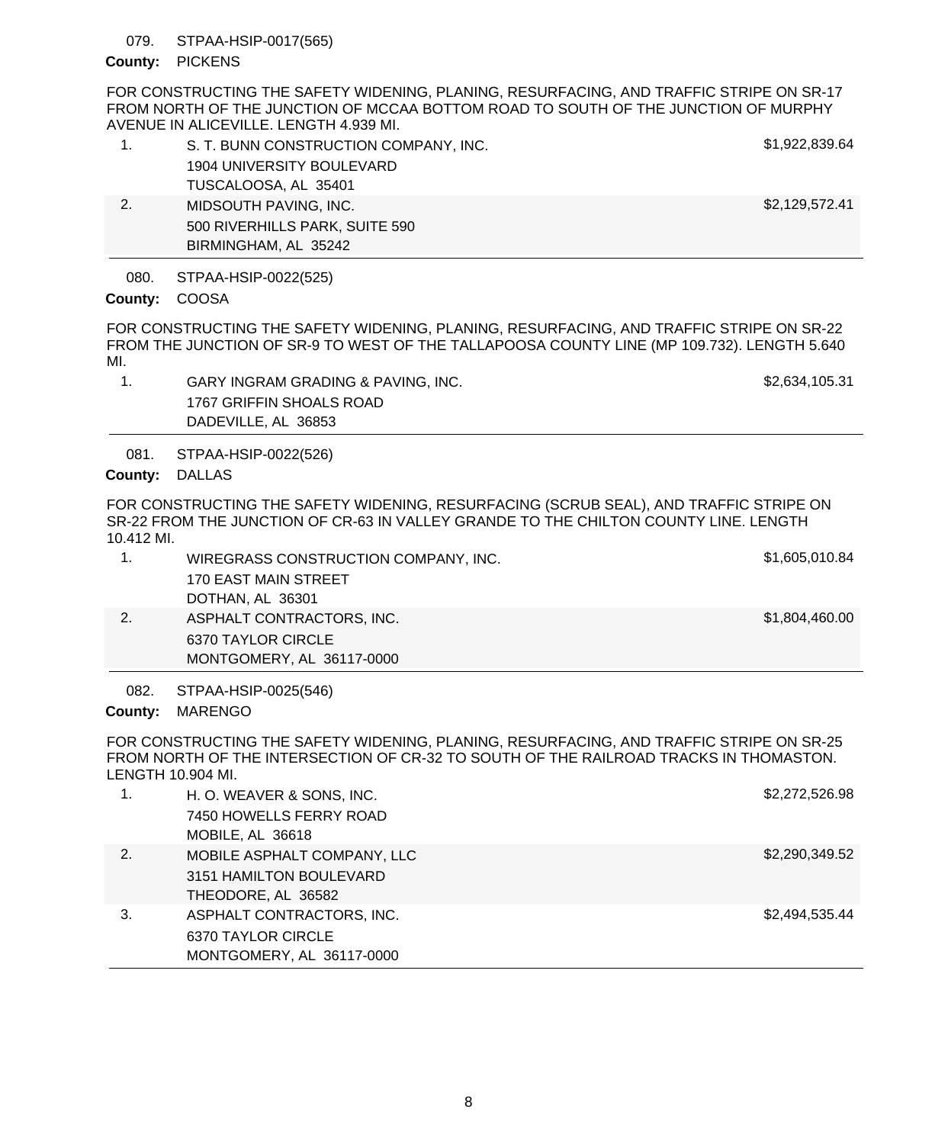### STPAA-HSIP-0017(565) 079.

## County: PICKENS

FOR CONSTRUCTING THE SAFETY WIDENING, PLANING, RESURFACING, AND TRAFFIC STRIPE ON SR-17 FROM NORTH OF THE JUNCTION OF MCCAA BOTTOM ROAD TO SOUTH OF THE JUNCTION OF MURPHY AVENUE IN ALICEVILLE. LENGTH 4.939 MI.

|    | S. T. BUNN CONSTRUCTION COMPANY, INC. | \$1,922,839.64 |
|----|---------------------------------------|----------------|
|    | 1904 UNIVERSITY BOULEVARD             |                |
|    | TUSCALOOSA, AL 35401                  |                |
| 2. | MIDSOUTH PAVING, INC.                 | \$2,129,572.41 |
|    | 500 RIVERHILLS PARK, SUITE 590        |                |
|    | BIRMINGHAM, AL 35242                  |                |
|    |                                       |                |

STPAA-HSIP-0022(525) 080.

# County: COOSA

FOR CONSTRUCTING THE SAFETY WIDENING, PLANING, RESURFACING, AND TRAFFIC STRIPE ON SR-22 FROM THE JUNCTION OF SR-9 TO WEST OF THE TALLAPOOSA COUNTY LINE (MP 109.732). LENGTH 5.640 MI.

1. GARY INGRAM GRADING & PAVING, INC. The state of the state of \$2,634,105.31 1767 GRIFFIN SHOALS ROAD DADEVILLE, AL 36853

STPAA-HSIP-0022(526) 081.

County: DALLAS

FOR CONSTRUCTING THE SAFETY WIDENING, RESURFACING (SCRUB SEAL), AND TRAFFIC STRIPE ON SR-22 FROM THE JUNCTION OF CR-63 IN VALLEY GRANDE TO THE CHILTON COUNTY LINE. LENGTH 10.412 MI.

|    | WIREGRASS CONSTRUCTION COMPANY, INC. | \$1,605,010.84 |
|----|--------------------------------------|----------------|
|    | 170 EAST MAIN STREET                 |                |
|    | DOTHAN, AL 36301                     |                |
| 2. | ASPHALT CONTRACTORS, INC.            | \$1,804,460.00 |
|    | 6370 TAYLOR CIRCLE                   |                |

STPAA-HSIP-0025(546) 082.

MONTGOMERY, AL 36117-0000

# County: MARENGO

FOR CONSTRUCTING THE SAFETY WIDENING, PLANING, RESURFACING, AND TRAFFIC STRIPE ON SR-25 FROM NORTH OF THE INTERSECTION OF CR-32 TO SOUTH OF THE RAILROAD TRACKS IN THOMASTON. LENGTH 10.904 MI.

|    | H. O. WEAVER & SONS, INC.<br>7450 HOWELLS FERRY ROAD<br>MOBILE, AL 36618     | \$2,272,526.98 |
|----|------------------------------------------------------------------------------|----------------|
| 2. | MOBILE ASPHALT COMPANY, LLC<br>3151 HAMILTON BOULEVARD<br>THEODORE, AL 36582 | \$2,290,349.52 |
| 3. | ASPHALT CONTRACTORS, INC.<br>6370 TAYLOR CIRCLE<br>MONTGOMERY, AL 36117-0000 | \$2,494,535.44 |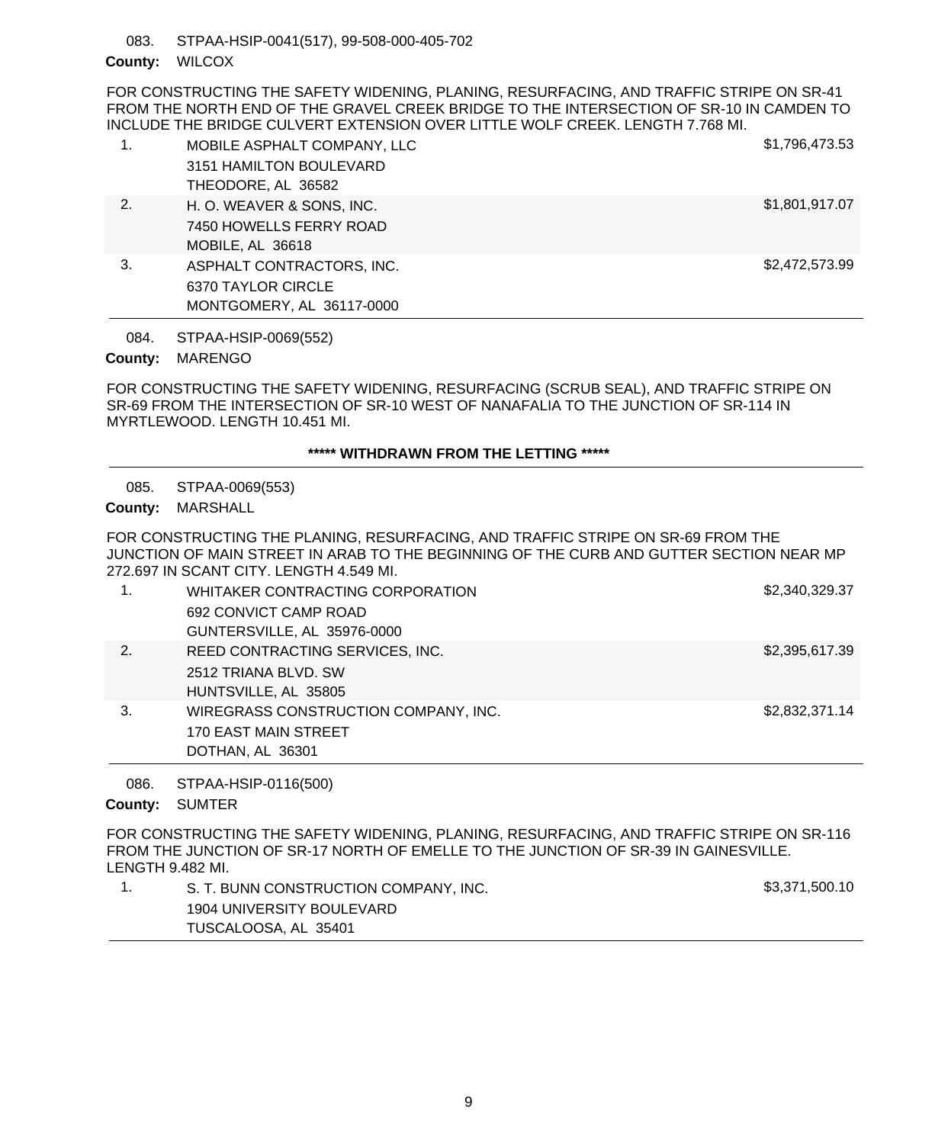STPAA-HSIP-0041(517), 99-508-000-405-702 083.

## County: WILCOX

FOR CONSTRUCTING THE SAFETY WIDENING, PLANING, RESURFACING, AND TRAFFIC STRIPE ON SR-41 FROM THE NORTH END OF THE GRAVEL CREEK BRIDGE TO THE INTERSECTION OF SR-10 IN CAMDEN TO INCLUDE THE BRIDGE CULVERT EXTENSION OVER LITTLE WOLF CREEK. LENGTH 7.768 MI.

| 1. | MOBILE ASPHALT COMPANY, LLC | \$1,796,473.53 |
|----|-----------------------------|----------------|
|    | 3151 HAMILTON BOULEVARD     |                |
|    | THEODORE, AL 36582          |                |
| 2. | H. O. WEAVER & SONS, INC.   | \$1,801,917.07 |
|    | 7450 HOWELLS FERRY ROAD     |                |
|    | MOBILE, AL 36618            |                |
| 3. | ASPHALT CONTRACTORS, INC.   | \$2,472,573.99 |
|    | 6370 TAYLOR CIRCLE          |                |
|    | MONTGOMERY, AL 36117-0000   |                |

STPAA-HSIP-0069(552) 084.

# County: MARENGO

FOR CONSTRUCTING THE SAFETY WIDENING, RESURFACING (SCRUB SEAL), AND TRAFFIC STRIPE ON SR-69 FROM THE INTERSECTION OF SR-10 WEST OF NANAFALIA TO THE JUNCTION OF SR-114 IN MYRTLEWOOD. LENGTH 10.451 MI.

# **\*\*\*\*\* WITHDRAWN FROM THE LETTING \*\*\*\*\***

STPAA-0069(553) 085.

MARSHALL **County:**

FOR CONSTRUCTING THE PLANING, RESURFACING, AND TRAFFIC STRIPE ON SR-69 FROM THE JUNCTION OF MAIN STREET IN ARAB TO THE BEGINNING OF THE CURB AND GUTTER SECTION NEAR MP 272.697 IN SCANT CITY. LENGTH 4.549 MI.

|    | WHITAKER CONTRACTING CORPORATION     | \$2,340,329.37 |
|----|--------------------------------------|----------------|
|    | 692 CONVICT CAMP ROAD                |                |
|    | GUNTERSVILLE, AL 35976-0000          |                |
| 2. | REED CONTRACTING SERVICES, INC.      | \$2,395,617.39 |
|    | 2512 TRIANA BLVD, SW                 |                |
|    | HUNTSVILLE, AL 35805                 |                |
| 3. | WIREGRASS CONSTRUCTION COMPANY, INC. | \$2,832,371.14 |
|    | 170 EAST MAIN STREET                 |                |
|    | DOTHAN, AL 36301                     |                |

STPAA-HSIP-0116(500) 086.

County: SUMTER

FOR CONSTRUCTING THE SAFETY WIDENING, PLANING, RESURFACING, AND TRAFFIC STRIPE ON SR-116 FROM THE JUNCTION OF SR-17 NORTH OF EMELLE TO THE JUNCTION OF SR-39 IN GAINESVILLE. LENGTH 9.482 MI.

| S. T. BUNN CONSTRUCTION COMPANY, INC. | \$3,371,500.10 |
|---------------------------------------|----------------|
| 1904 UNIVERSITY BOULEVARD             |                |
| TUSCALOOSA, AL 35401                  |                |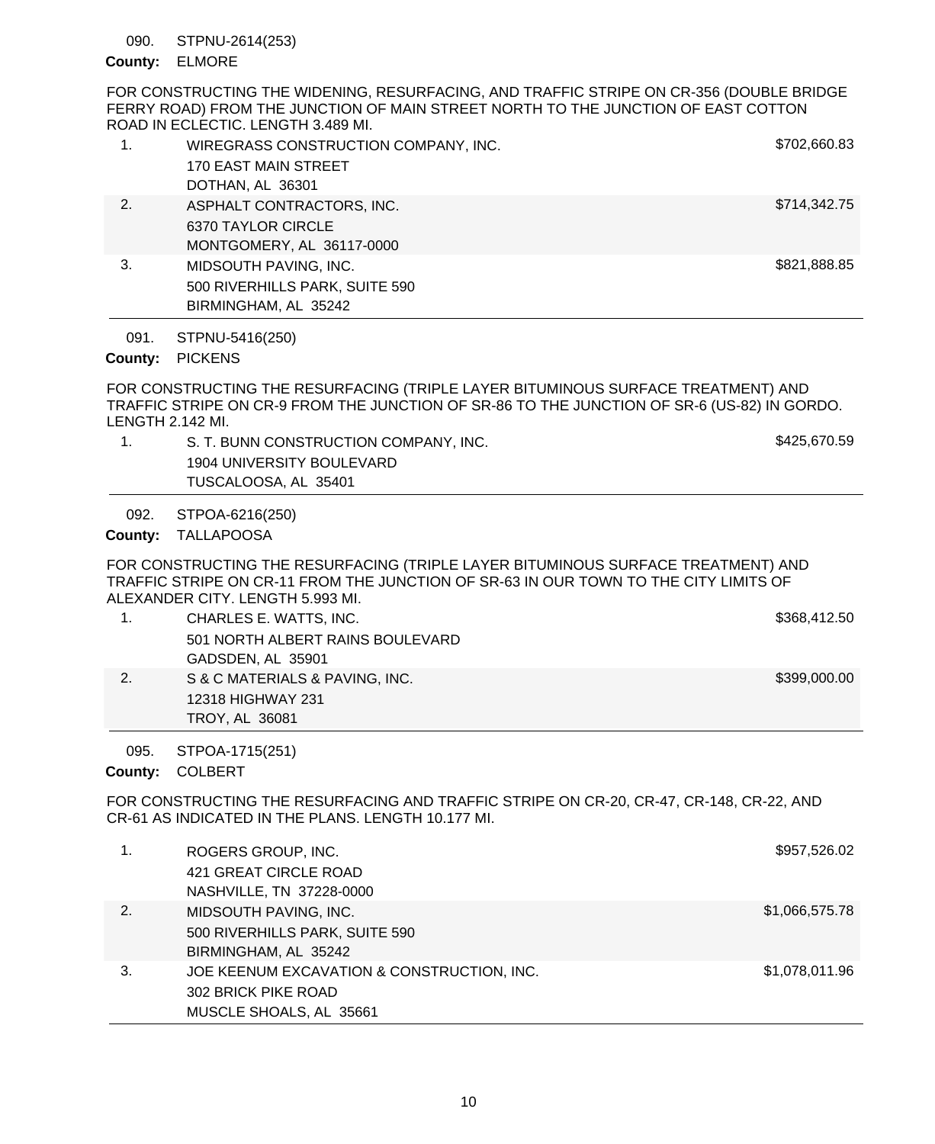### STPNU-2614(253) 090.

## ELMORE **County:**

FOR CONSTRUCTING THE WIDENING, RESURFACING, AND TRAFFIC STRIPE ON CR-356 (DOUBLE BRIDGE FERRY ROAD) FROM THE JUNCTION OF MAIN STREET NORTH TO THE JUNCTION OF EAST COTTON ROAD IN ECLECTIC. LENGTH 3.489 MI.

|    | WIREGRASS CONSTRUCTION COMPANY, INC.<br>170 EAST MAIN STREET<br>DOTHAN, AL 36301 | \$702,660.83 |
|----|----------------------------------------------------------------------------------|--------------|
| 2. | ASPHALT CONTRACTORS, INC.<br>6370 TAYLOR CIRCLE<br>MONTGOMERY, AL 36117-0000     | \$714,342.75 |
| 3. | MIDSOUTH PAVING, INC.<br>500 RIVERHILLS PARK, SUITE 590<br>BIRMINGHAM, AL 35242  | \$821,888.85 |

STPNU-5416(250) 091.

# County: PICKENS

FOR CONSTRUCTING THE RESURFACING (TRIPLE LAYER BITUMINOUS SURFACE TREATMENT) AND TRAFFIC STRIPE ON CR-9 FROM THE JUNCTION OF SR-86 TO THE JUNCTION OF SR-6 (US-82) IN GORDO. LENGTH 2.142 MI.

1. S. T. BUNN CONSTRUCTION COMPANY, INC. Sandbox 3425,670.59 1904 UNIVERSITY BOULEVARD TUSCALOOSA, AL 35401

STPOA-6216(250) 092.

County: TALLAPOOSA

FOR CONSTRUCTING THE RESURFACING (TRIPLE LAYER BITUMINOUS SURFACE TREATMENT) AND TRAFFIC STRIPE ON CR-11 FROM THE JUNCTION OF SR-63 IN OUR TOWN TO THE CITY LIMITS OF ALEXANDER CITY. LENGTH 5.993 MI.

|    | CHARLES E. WATTS, INC.           | \$368,412.50 |
|----|----------------------------------|--------------|
|    | 501 NORTH ALBERT RAINS BOULEVARD |              |
|    | GADSDEN, AL 35901                |              |
| 2. | S & C MATERIALS & PAVING, INC.   | \$399,000.00 |
|    | 12318 HIGHWAY 231                |              |
|    | TROY, AL 36081                   |              |

STPOA-1715(251) 095.

COLBERT **County:**

FOR CONSTRUCTING THE RESURFACING AND TRAFFIC STRIPE ON CR-20, CR-47, CR-148, CR-22, AND CR-61 AS INDICATED IN THE PLANS. LENGTH 10.177 MI.

| 1. | ROGERS GROUP, INC.                         | \$957,526.02   |
|----|--------------------------------------------|----------------|
|    | 421 GREAT CIRCLE ROAD                      |                |
|    | NASHVILLE, TN 37228-0000                   |                |
| 2. | MIDSOUTH PAVING, INC.                      | \$1,066,575.78 |
|    | 500 RIVERHILLS PARK, SUITE 590             |                |
|    | BIRMINGHAM, AL 35242                       |                |
| 3. | JOE KEENUM EXCAVATION & CONSTRUCTION, INC. | \$1,078,011.96 |
|    | 302 BRICK PIKE ROAD                        |                |
|    | MUSCLE SHOALS, AL 35661                    |                |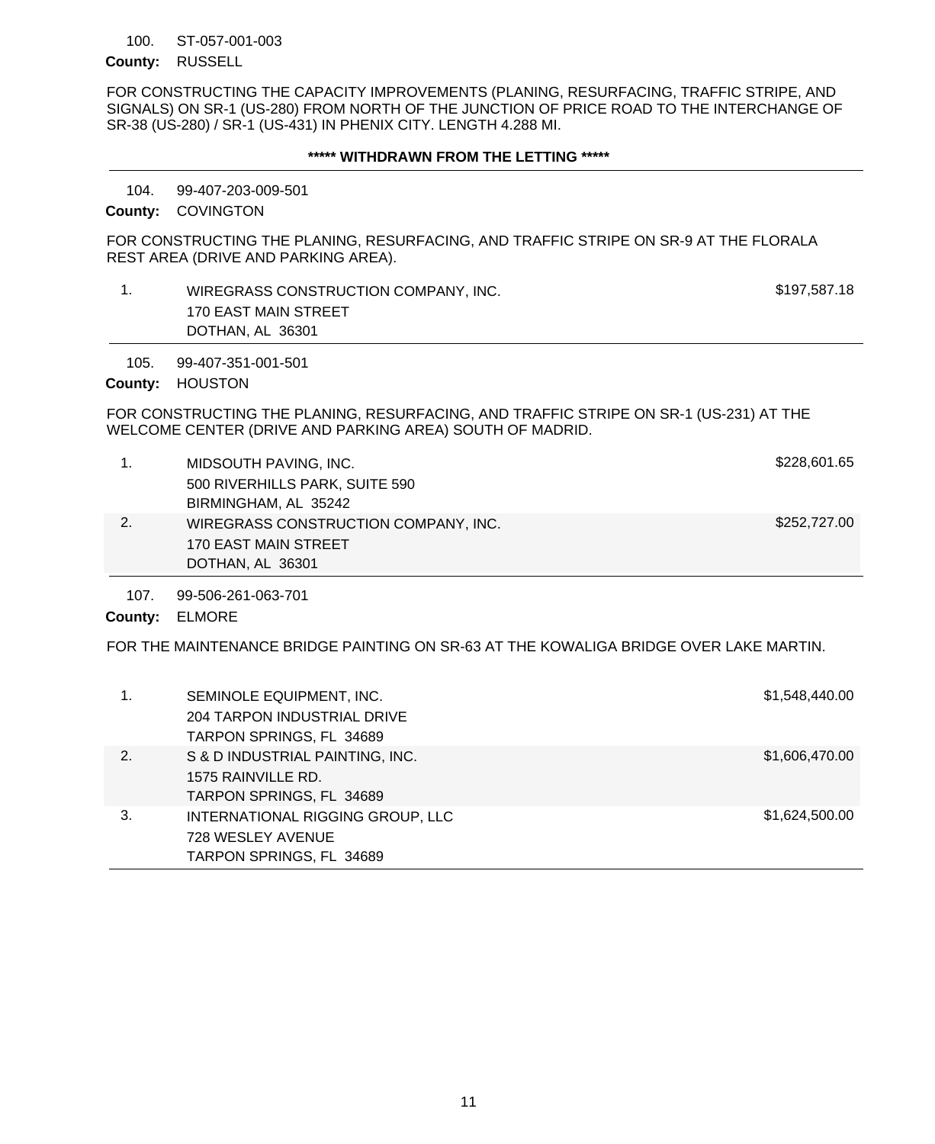### ST-057-001-003 100.

### County: RUSSELL

FOR CONSTRUCTING THE CAPACITY IMPROVEMENTS (PLANING, RESURFACING, TRAFFIC STRIPE, AND SIGNALS) ON SR-1 (US-280) FROM NORTH OF THE JUNCTION OF PRICE ROAD TO THE INTERCHANGE OF SR-38 (US-280) / SR-1 (US-431) IN PHENIX CITY. LENGTH 4.288 MI.

### **\*\*\*\*\* WITHDRAWN FROM THE LETTING \*\*\*\*\***

99-407-203-009-501 104.

County: COVINGTON

FOR CONSTRUCTING THE PLANING, RESURFACING, AND TRAFFIC STRIPE ON SR-9 AT THE FLORALA REST AREA (DRIVE AND PARKING AREA).

| WIREGRASS CONSTRUCTION COMPANY, INC. | \$197,587.18 |
|--------------------------------------|--------------|
| 170 EAST MAIN STREET                 |              |
| DOTHAN, AL 36301                     |              |
|                                      |              |

99-407-351-001-501 105.

County: HOUSTON

FOR CONSTRUCTING THE PLANING, RESURFACING, AND TRAFFIC STRIPE ON SR-1 (US-231) AT THE WELCOME CENTER (DRIVE AND PARKING AREA) SOUTH OF MADRID.

| 1. | MIDSOUTH PAVING, INC.                | \$228,601.65 |
|----|--------------------------------------|--------------|
|    | 500 RIVERHILLS PARK, SUITE 590       |              |
|    | BIRMINGHAM, AL 35242                 |              |
| 2. | WIREGRASS CONSTRUCTION COMPANY, INC. | \$252,727.00 |
|    | 170 EAST MAIN STREET                 |              |
|    | DOTHAN, AL 36301                     |              |

99-506-261-063-701 107.

ELMORE **County:**

FOR THE MAINTENANCE BRIDGE PAINTING ON SR-63 AT THE KOWALIGA BRIDGE OVER LAKE MARTIN.

| 1. | SEMINOLE EQUIPMENT, INC.<br>204 TARPON INDUSTRIAL DRIVE<br>TARPON SPRINGS, FL 34689 | \$1,548,440.00 |
|----|-------------------------------------------------------------------------------------|----------------|
| 2. | S & D INDUSTRIAL PAINTING, INC.<br>1575 RAINVILLE RD.<br>TARPON SPRINGS, FL 34689   | \$1,606,470.00 |
| 3. | INTERNATIONAL RIGGING GROUP, LLC<br>728 WESLEY AVENUE<br>TARPON SPRINGS, FL 34689   | \$1,624,500.00 |